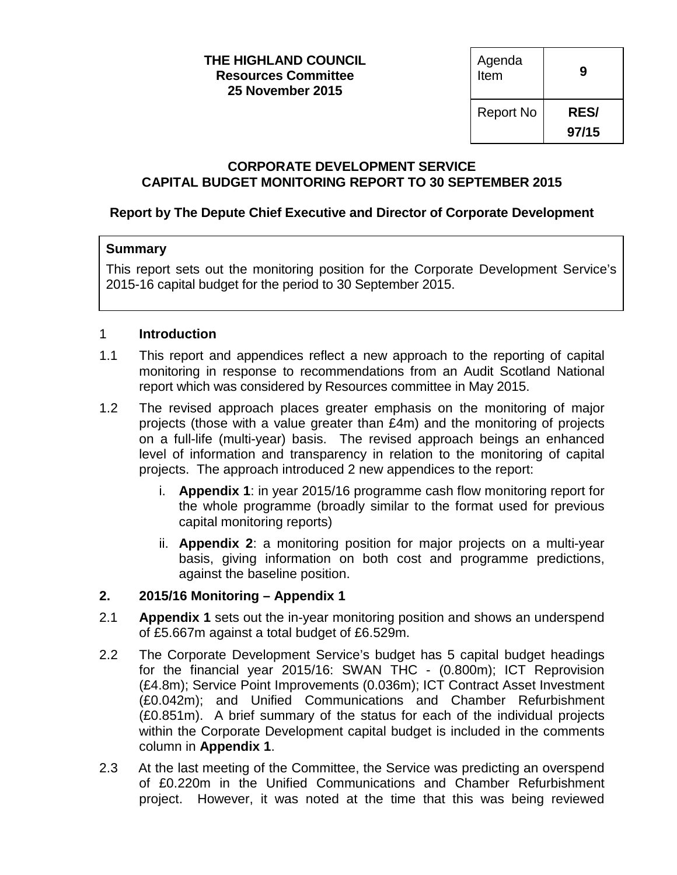#### **THE HIGHLAND COUNCIL Resources Committee 25 November 2015**

| Agenda<br>Item   | g          |
|------------------|------------|
| <b>Report No</b> | <b>RES</b> |
|                  | 97/15      |

### **CORPORATE DEVELOPMENT SERVICE CAPITAL BUDGET MONITORING REPORT TO 30 SEPTEMBER 2015**

# **Report by The Depute Chief Executive and Director of Corporate Development**

# **Summary**

This report sets out the monitoring position for the Corporate Development Service's 2015-16 capital budget for the period to 30 September 2015.

# 1 **Introduction**

- 1.1 This report and appendices reflect a new approach to the reporting of capital monitoring in response to recommendations from an Audit Scotland National report which was considered by Resources committee in May 2015.
- 1.2 The revised approach places greater emphasis on the monitoring of major projects (those with a value greater than £4m) and the monitoring of projects on a full-life (multi-year) basis. The revised approach beings an enhanced level of information and transparency in relation to the monitoring of capital projects. The approach introduced 2 new appendices to the report:
	- i. **Appendix 1**: in year 2015/16 programme cash flow monitoring report for the whole programme (broadly similar to the format used for previous capital monitoring reports)
	- ii. **Appendix 2**: a monitoring position for major projects on a multi-year basis, giving information on both cost and programme predictions, against the baseline position.

# **2. 2015/16 Monitoring – Appendix 1**

- 2.1 **Appendix 1** sets out the in-year monitoring position and shows an underspend of £5.667m against a total budget of £6.529m.
- 2.2 The Corporate Development Service's budget has 5 capital budget headings for the financial year 2015/16: SWAN THC - (0.800m); ICT Reprovision (£4.8m); Service Point Improvements (0.036m); ICT Contract Asset Investment (£0.042m); and Unified Communications and Chamber Refurbishment (£0.851m). A brief summary of the status for each of the individual projects within the Corporate Development capital budget is included in the comments column in **Appendix 1**.
- 2.3 At the last meeting of the Committee, the Service was predicting an overspend of £0.220m in the Unified Communications and Chamber Refurbishment project. However, it was noted at the time that this was being reviewed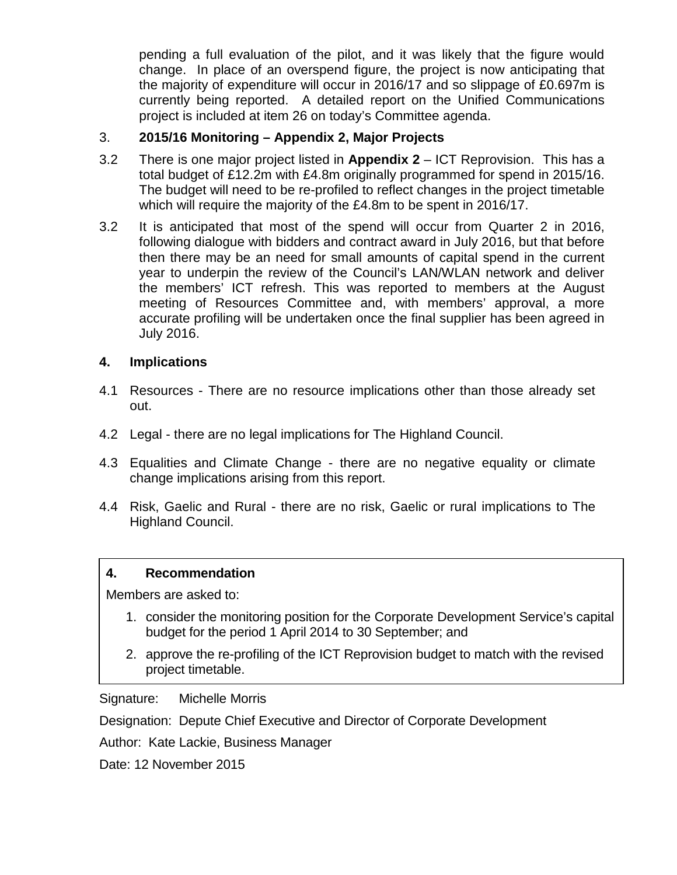pending a full evaluation of the pilot, and it was likely that the figure would change. In place of an overspend figure, the project is now anticipating that the majority of expenditure will occur in 2016/17 and so slippage of £0.697m is currently being reported. A detailed report on the Unified Communications project is included at item 26 on today's Committee agenda.

# 3. **2015/16 Monitoring – Appendix 2, Major Projects**

- 3.2 There is one major project listed in **Appendix 2**  ICT Reprovision. This has a total budget of £12.2m with £4.8m originally programmed for spend in 2015/16. The budget will need to be re-profiled to reflect changes in the project timetable which will require the majority of the £4.8m to be spent in 2016/17.
- 3.2 It is anticipated that most of the spend will occur from Quarter 2 in 2016, following dialogue with bidders and contract award in July 2016, but that before then there may be an need for small amounts of capital spend in the current year to underpin the review of the Council's LAN/WLAN network and deliver the members' ICT refresh. This was reported to members at the August meeting of Resources Committee and, with members' approval, a more accurate profiling will be undertaken once the final supplier has been agreed in July 2016.

# **4. Implications**

- 4.1 Resources There are no resource implications other than those already set out.
- 4.2 Legal there are no legal implications for The Highland Council.
- 4.3 Equalities and Climate Change there are no negative equality or climate change implications arising from this report.
- 4.4 Risk, Gaelic and Rural there are no risk, Gaelic or rural implications to The Highland Council.

### **4. Recommendation**

Members are asked to:

- 1. consider the monitoring position for the Corporate Development Service's capital budget for the period 1 April 2014 to 30 September; and
- 2. approve the re-profiling of the ICT Reprovision budget to match with the revised project timetable.

Signature: Michelle Morris

Designation: Depute Chief Executive and Director of Corporate Development

Author: Kate Lackie, Business Manager

Date: 12 November 2015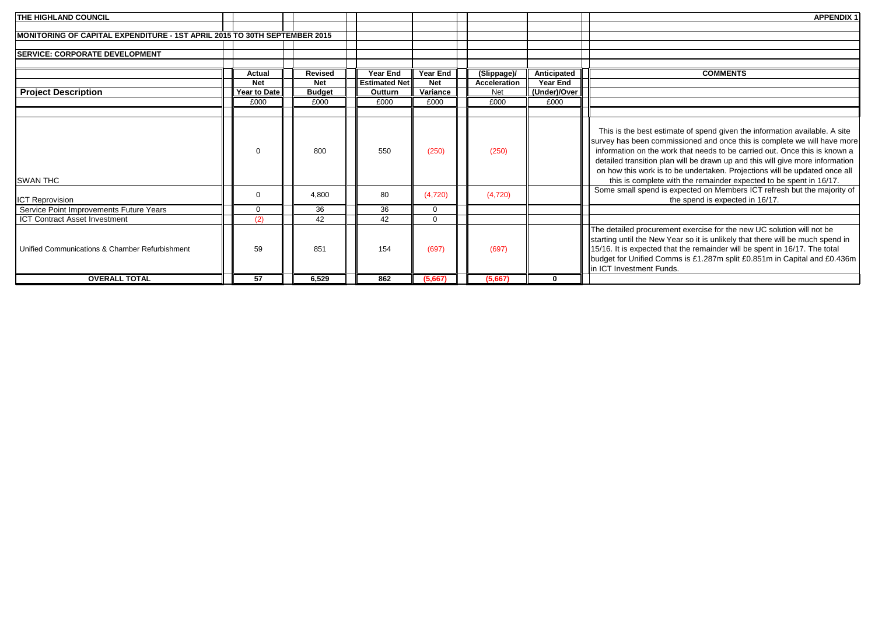| THE HIGHLAND COUNCIL                                                      |              |                |                      |            |              |              | <b>APPENDIX 1</b>                                                                                                                                                                                                                                                                                                                                                                                                                                                         |
|---------------------------------------------------------------------------|--------------|----------------|----------------------|------------|--------------|--------------|---------------------------------------------------------------------------------------------------------------------------------------------------------------------------------------------------------------------------------------------------------------------------------------------------------------------------------------------------------------------------------------------------------------------------------------------------------------------------|
|                                                                           |              |                |                      |            |              |              |                                                                                                                                                                                                                                                                                                                                                                                                                                                                           |
| MONITORING OF CAPITAL EXPENDITURE - 1ST APRIL 2015 TO 30TH SEPTEMBER 2015 |              |                |                      |            |              |              |                                                                                                                                                                                                                                                                                                                                                                                                                                                                           |
|                                                                           |              |                |                      |            |              |              |                                                                                                                                                                                                                                                                                                                                                                                                                                                                           |
| <b>ISERVICE: CORPORATE DEVELOPMENT</b>                                    |              |                |                      |            |              |              |                                                                                                                                                                                                                                                                                                                                                                                                                                                                           |
|                                                                           |              |                |                      |            |              |              |                                                                                                                                                                                                                                                                                                                                                                                                                                                                           |
|                                                                           | Actual       | <b>Revised</b> | <b>Year End</b>      | Year End   | (Slippage)/  | Anticipated  | <b>COMMENTS</b>                                                                                                                                                                                                                                                                                                                                                                                                                                                           |
|                                                                           | <b>Net</b>   | <b>Net</b>     | <b>Estimated Net</b> | <b>Net</b> | Acceleration | Year End     |                                                                                                                                                                                                                                                                                                                                                                                                                                                                           |
| <b>Project Description</b>                                                | Year to Date | <b>Budget</b>  | Outturn              | Variance   | Net          | (Under)/Over |                                                                                                                                                                                                                                                                                                                                                                                                                                                                           |
|                                                                           | £000         | £000           | £000                 | £000       | £000         | £000         |                                                                                                                                                                                                                                                                                                                                                                                                                                                                           |
|                                                                           |              |                |                      |            |              |              |                                                                                                                                                                                                                                                                                                                                                                                                                                                                           |
| <b>SWAN THC</b>                                                           | $\Omega$     | 800            | 550                  | (250)      | (250)        |              | This is the best estimate of spend given the information available. A site<br>survey has been commissioned and once this is complete we will have more<br>information on the work that needs to be carried out. Once this is known a<br>detailed transition plan will be drawn up and this will give more information<br>on how this work is to be undertaken. Projections will be updated once all<br>this is complete with the remainder expected to be spent in 16/17. |
| <b>ICT Reprovision</b>                                                    | $\Omega$     | 4,800          | 80                   | (4,720)    | (4,720)      |              | Some small spend is expected on Members ICT refresh but the majority of<br>the spend is expected in 16/17.                                                                                                                                                                                                                                                                                                                                                                |
| Service Point Improvements Future Years                                   | $\Omega$     | 36             | 36                   | $\Omega$   |              |              |                                                                                                                                                                                                                                                                                                                                                                                                                                                                           |
| <b>ICT Contract Asset Investment</b>                                      | (2)          | 42             | 42                   | $\Omega$   |              |              |                                                                                                                                                                                                                                                                                                                                                                                                                                                                           |
| Unified Communications & Chamber Refurbishment                            | 59           | 851            | 154                  | (697)      | (697)        |              | The detailed procurement exercise for the new UC solution will not be<br>starting until the New Year so it is unlikely that there will be much spend in<br>15/16. It is expected that the remainder will be spent in 16/17. The total<br>budget for Unified Comms is £1.287m split £0.851m in Capital and £0.436m<br>in ICT Investment Funds.                                                                                                                             |
| <b>OVERALL TOTAL</b>                                                      | 57           | 6,529          | 862                  | (5,667)    | (5,667)      | <sup>0</sup> |                                                                                                                                                                                                                                                                                                                                                                                                                                                                           |